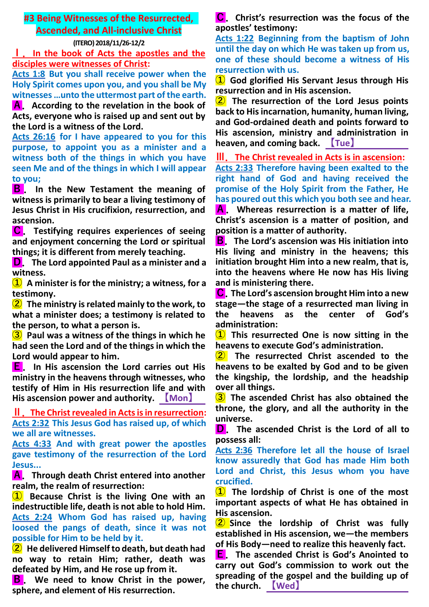## **#3 Being Witnesses of the Resurrected, Ascended, and All-inclusive Christ**

### **(ITERO) 2018/11/26-12/2**

**Ⅰ.In the book of Acts the apostles and the disciples were witnesses of Christ:**

**Acts 1:8 But you shall receive power when the Holy Spirit comes upon you, and you shall be My witnesses …unto the uttermost part of the earth.**

**A.According to the revelation in the book of Acts, everyone who is raised up and sent out by the Lord is a witness of the Lord.**

**Acts 26:16 for I have appeared to you for this purpose, to appoint you as a minister and a witness both of the things in which you have seen Me and of the things in which I will appear to you;**

**B . In the New Testament the meaning of witness is primarily to bear a living testimony of Jesus Christ in His crucifixion, resurrection, and ascension.**

**C.Testifying requires experiences of seeing and enjoyment concerning the Lord or spiritual things; it is different from merely teaching.**

**D.The Lord appointed Paul as a minister and a witness.**

**① A minister is for the ministry; a witness, for a testimony.**

**② The ministry is related mainly to the work, to what a minister does; a testimony is related to the person, to what a person is.**

**③ Paul was a witness of the things in which he had seen the Lord and of the things in which the Lord would appear to him.**

**E.In His ascension the Lord carries out His ministry in the heavens through witnesses, who testify of Him in His resurrection life and with His ascension power and authority. 【Mon】** 

**Ⅱ.The Christ revealed in Acts is in resurrection: Acts 2:32 This Jesus God has raised up, of which we all are witnesses.**

**Acts 4:33 And with great power the apostles gave testimony of the resurrection of the Lord Jesus...**

**A.Through death Christ entered into another realm, the realm of resurrection:**

**① Because Christ is the living One with an indestructible life, death is not able to hold Him. Acts 2:24 Whom God has raised up, having loosed the pangs of death, since it was not possible for Him to be held by it.**

**② He delivered Himself to death, but death had no way to retain Him; rather, death was defeated by Him, and He rose up from it.**

**B.We need to know Christ in the power, sphere, and element of His resurrection.**

**C.Christ's resurrection was the focus of the apostles' testimony:**

**Acts 1:22 Beginning from the baptism of John until the day on which He was taken up from us, one of these should become a witness of His resurrection with us.**

**① God glorified His Servant Jesus through His resurrection and in His ascension.**

**② The resurrection of the Lord Jesus points back to His incarnation, humanity, human living, and God-ordained death and points forward to His ascension, ministry and administration in heaven, and coming back. 【Tue】** 

**Ⅲ.The Christ revealed in Acts is in ascension:**

**Acts 2:33 Therefore having been exalted to the right hand of God and having received the promise of the Holy Spirit from the Father, He has poured out this which you both see and hear. A.Whereas resurrection is a matter of life, Christ's ascension is a matter of position, and position is a matter of authority.**

**B.The Lord's ascension was His initiation into His living and ministry in the heavens; this initiation brought Him into a new realm, that is, into the heavens where He now has His living and is ministering there.**

**C.The Lord's ascension brought Him into a new stage—the stage of a resurrected man living in the heavens as the center of God's administration:**

**① This resurrected One is now sitting in the heavens to execute God's administration.**

**② The resurrected Christ ascended to the heavens to be exalted by God and to be given the kingship, the lordship, and the headship over all things.**

**③ The ascended Christ has also obtained the throne, the glory, and all the authority in the universe.**

**D.The ascended Christ is the Lord of all to possess all:**

**Acts 2:36 Therefore let all the house of Israel know assuredly that God has made Him both Lord and Christ, this Jesus whom you have crucified.**

**① The lordship of Christ is one of the most important aspects of what He has obtained in His ascension.**

**② Since the lordship of Christ was fully established in His ascension, we—the members of His Body—need to realize this heavenly fact.**

**E.The ascended Christ is God's Anointed to carry out God's commission to work out the spreading of the gospel and the building up of the church. 【Wed】**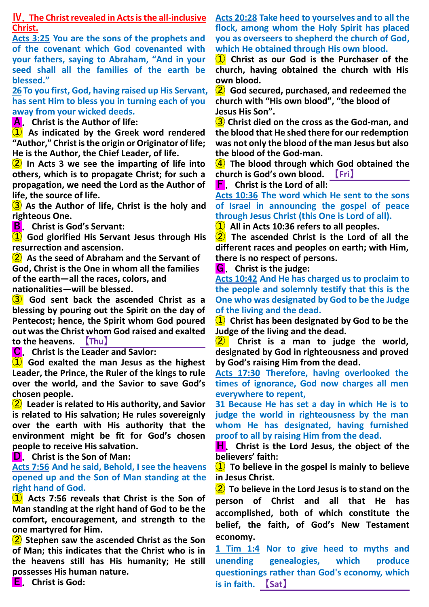**Ⅳ.The Christ revealed in Acts is the all-inclusive Christ.**

**Acts 3:25 You are the sons of the prophets and of the covenant which God covenanted with your fathers, saying to Abraham, "And in your seed shall all the families of the earth be blessed."**

**26 To you first, God, having raised up His Servant, has sent Him to bless you in turning each of you away from your wicked deeds.**

**A.Christ is the Author of life:**

**① As indicated by the Greek word rendered "Author," Christ is the origin or Originator of life; He is the Author, the Chief Leader, of life.**

**② In Acts 3 we see the imparting of life into others, which is to propagate Christ; for such a propagation, we need the Lord as the Author of life, the source of life.**

**③ As the Author of life, Christ is the holy and righteous One.**

**B.Christ is God's Servant:**

**① God glorified His Servant Jesus through His resurrection and ascension.**

**② As the seed of Abraham and the Servant of God, Christ is the One in whom all the families of the earth—all the races, colors, and nationalities—will be blessed.**

**③ God sent back the ascended Christ as a blessing by pouring out the Spirit on the day of Pentecost; hence, the Spirit whom God poured out was the Christ whom God raised and exalted to the heavens. 【Thu】** 

**C.Christ is the Leader and Savior:**

**① God exalted the man Jesus as the highest Leader, the Prince, the Ruler of the kings to rule over the world, and the Savior to save God's chosen people.**

**② Leader is related to His authority, and Savior is related to His salvation; He rules sovereignly over the earth with His authority that the environment might be fit for God's chosen people to receive His salvation.**

**D.Christ is the Son of Man:**

**Acts 7:56 And he said, Behold, I see the heavens opened up and the Son of Man standing at the right hand of God.**

**① Acts 7:56 reveals that Christ is the Son of Man standing at the right hand of God to be the comfort, encouragement, and strength to the one martyred for Him.**

**② Stephen saw the ascended Christ as the Son of Man; this indicates that the Christ who is in the heavens still has His humanity; He still possesses His human nature.**

**E.Christ is God:**

**Acts 20:28 Take heed to yourselves and to all the flock, among whom the Holy Spirit has placed you as overseers to shepherd the church of God, which He obtained through His own blood.**

**① Christ as our God is the Purchaser of the church, having obtained the church with His own blood.**

**② God secured, purchased, and redeemed the church with "His own blood", "the blood of Jesus His Son".**

**③ Christ died on the cross as the God-man, and the blood that He shed there for our redemption was not only the blood of the man Jesus but also the blood of the God-man.**

**④ The blood through which God obtained the church is God's own blood. 【Fri】** 

**F.Christ is the Lord of all:**

**Acts 10:36 The word which He sent to the sons of Israel in announcing the gospel of peace through Jesus Christ (this One is Lord of all).**

**① All in Acts 10:36 refers to all peoples.**

**② The ascended Christ is the Lord of all the different races and peoples on earth; with Him, there is no respect of persons.**

**G.Christ is the judge:**

**Acts 10:42 And He has charged us to proclaim to the people and solemnly testify that this is the One who was designated by God to be the Judge of the living and the dead.**

**① Christ has been designated by God to be the Judge of the living and the dead.**

**② Christ is a man to judge the world, designated by God in righteousness and proved by God's raising Him from the dead.**

**Acts 17:30 Therefore, having overlooked the times of ignorance, God now charges all men everywhere to repent,**

**31 Because He has set a day in which He is to judge the world in righteousness by the man whom He has designated, having furnished proof to all by raising Him from the dead.**

**H.Christ is the Lord Jesus, the object of the believers' faith:**

**① To believe in the gospel is mainly to believe in Jesus Christ.**

**② To believe in the Lord Jesus is to stand on the person of Christ and all that He has accomplished, both of which constitute the belief, the faith, of God's New Testament economy.**

**1 Tim 1:4 Nor to give heed to myths and unending genealogies, which produce questionings rather than God's economy, which is in faith. 【Sat】**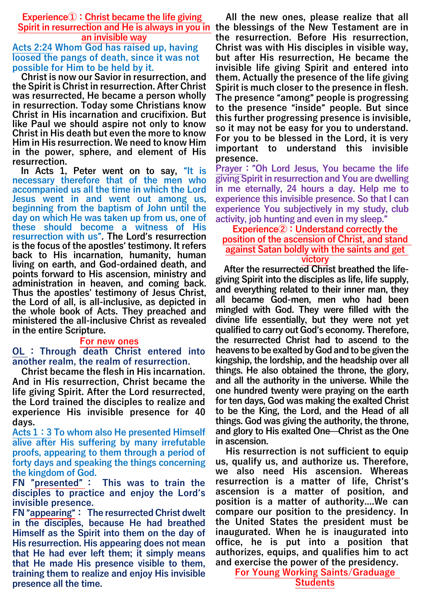**Experience①:Christ became the life giving an invisible way**

# **Acts 2:24 Whom God has raised up, having loosed the pangs of death, since it was not possible for Him to be held by it.**

**Christ is now our Savior in resurrection, and the Spirit is Christ in resurrection. After Christ was resurrected, He became a person wholly in resurrection. Today some Christians know Christ in His incarnation and crucifixion. But like Paul we should aspire not only to know Christ in His death but even the more to know Him in His resurrection. We need to know Him in the power, sphere, and element of His resurrection.**

**In Acts 1, Peter went on to say,** "**It is necessary therefore that of the men who accompanied us all the time in which the Lord Jesus went in and went out among us, beginning from the baptism of John until the day on which He was taken up from us, one of these should become a witness of His resurrection with us**"**. The Lord**'**s resurrection is the focus of the apostles**' **testimony. It refers back to His incarnation, humanity, human living on earth, and God-ordained death, and points forward to His ascension, ministry and administration in heaven, and coming back. Thus the apostles**' **testimony of Jesus Christ, the Lord of all, is all-inclusive, as depicted in the whole book of Acts. They preached and ministered the all-inclusive Christ as revealed in the entire Scripture.**

#### **For new ones**

## **OL : Through death Christ entered into another realm, the realm of resurrection.**

**Christ became the flesh in His incarnation. And in His resurrection, Christ became the life giving Spirit. After the Lord resurrected, the Lord trained the disciples to realize and experience His invisible presence for 40 days.**

**Acts 1:3 To whom also He presented Himself alive after His suffering by many irrefutable proofs, appearing to them through a period of forty days and speaking the things concerning the kingdom of God.** 

**FN** "**presented**" **: This was to train the disciples to practice and enjoy the Lord**'**s invisible presence.**

**FN** "**appearing**"**: The resurrected Christ dwelt in the disciples, because He had breathed Himself as the Spirit into them on the day of His resurrection. His appearing does not mean that He had ever left them; it simply means that He made His presence visible to them, training them to realize and enjoy His invisible presence all the time.**

**Spirit in resurrection and He is always in you in the blessings of the New Testament are in All the new ones, please realize that all the resurrection. Before His resurrection, Christ was with His disciples in visible way, but after His resurrection, He became the invisible life giving Spirit and entered into them. Actually the presence of the life giving Spirit is much closer to the presence in flesh. The presence** "**among**" **people is progressing to the presence** "**inside**" **people. But since this further progressing presence is invisible, so it may not be easy for you to understand. For you to be blessed in the Lord, it is very important to understand this invisible presence.**

> **Prayer:**"**Oh Lord Jesus, You became the life giving Spirit in resurrection and You are dwelling in me eternally, 24 hours a day. Help me to experience this invisible presence. So that I can experience You subjectively in my study, club activity, job hunting and even in my sleep.**"

**Experience②:Understand correctly the position of the ascension of Christ, and stand against Satan boldly with the saints and get victory**

**After the resurrected Christ breathed the lifegiving Spirit into the disciples as life, life supply, and everything related to their inner man, they all became God-men, men who had been mingled with God. They were filled with the divine life essentially, but they were not yet qualified to carry out God**'**s economy. Therefore, the resurrected Christ had to ascend to the heavens to be exalted by God and to be given the kingship, the lordship, and the headship over all things. He also obtained the throne, the glory, and all the authority in the universe. While the one hundred twenty were praying on the earth for ten days, God was making the exalted Christ to be the King, the Lord, and the Head of all things. God was giving the authority, the throne, and glory to His exalted One**—**Christ as the One in ascension.**

**His resurrection is not sufficient to equip us, qualify us, and authorize us. Therefore, we also need His ascension. Whereas resurrection is a matter of life, Christ**'**s ascension is a matter of position, and position is a matter of authority....We can compare our position to the presidency. In the United States the president must be inaugurated. When he is inaugurated into office, he is put into a position that authorizes, equips, and qualifies him to act and exercise the power of the presidency.**

**For Young Working Saints/Graduage Students**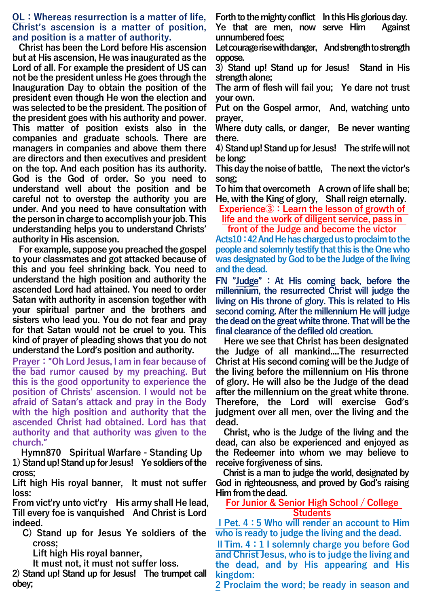### **OL:Whereas resurrection is a matter of life, Christ**'**s ascension is a matter of position, and position is a matter of authority.**

**Christ has been the Lord before His ascension but at His ascension, He was inaugurated as the Lord of all. For example the president of US can not be the president unless He goes through the Inauguration Day to obtain the position of the president even though He won the election and was selected to be the president. The position of the president goes with his authority and power. This matter of position exists also in the companies and graduate schools. There are managers in companies and above them there are directors and then executives and president on the top. And each position has its authority. God is the God of order. So you need to understand well about the position and be careful not to overstep the authority you are under. And you need to have consultation with the person in charge to accomplish your job. This understanding helps you to understand Christs**' **authority in His ascension.**

**For example, suppose you preached the gospel to your classmates and got attacked because of this and you feel shrinking back. You need to understand the high position and authority the ascended Lord had attained. You need to order Satan with authority in ascension together with your spiritual partner and the brothers and sisters who lead you. You do not fear and pray for that Satan would not be cruel to you. This kind of prayer of pleading shows that you do not understand the Lord**'**s position and authority.**

**Prayer:**"**Oh Lord Jesus, I am in fear because of the bad rumor caused by my preaching. But this is the good opportunity to experience the position of Christs**' **ascension. I would not be afraid of Satan**'**s attack and pray in the Body with the high position and authority that the ascended Christ had obtained. Lord has that authority and that authority was given to the church.**"

**Hymn870 Spiritual Warfare - Standing Up 1) Stand up! Stand up for Jesus! Ye soldiers of the cross;**

**Lift high His royal banner, It must not suffer loss:**

**From vict'ry unto vict'ry His army shall He lead, Till every foe is vanquished And Christ is Lord indeed.**

**C) Stand up for Jesus Ye soldiers of the cross;**

**Lift high His royal banner,**

**It must not, it must not suffer loss.**

**2) Stand up! Stand up for Jesus! The trumpet call obey;**

**Forth to the mighty conflict In this His glorious day.**

**Ye that are men, now serve Him Against unnumbered foes;**

**Let courage rise with danger, And strength to strength oppose.**

**3) Stand up! Stand up for Jesus! Stand in His strength alone;**

**The arm of flesh will fail you; Ye dare not trust your own.**

**Put on the Gospel armor, And, watching unto prayer,**

**Where duty calls, or danger, Be never wanting there.**

**4) Stand up! Stand up for Jesus! The strife will not be long:**

**This day the noise of battle, The next the victor's song;**

**To him that overcometh A crown of life shall be; He, with the King of glory, Shall reign eternally.**

**Experience③:Learn the lesson of growth of life and the work of diligent service, pass in** 

**front of the Judge and become the victor**

**Acts10:42And He has charged us to proclaim to the people and solemnly testify that this is the One who was designated by God to be the Judge of the living and the dead.** 

**FN** "**Judge**" **:At His coming back, before the millennium, the resurrected Christ will judge the living on His throne of glory. This is related to His second coming. After the millennium He will judge the dead on the great white throne. That will be the final clearance of the defiled old creation.**

**Here we see that Christ has been designated the Judge of all mankind....The resurrected Christ at His second coming will be the Judge of the living before the millennium on His throne of glory. He will also be the Judge of the dead after the millennium on the great white throne. Therefore, the Lord will exercise God**'**s judgment over all men, over the living and the dead.**

**Christ, who is the Judge of the living and the dead, can also be experienced and enjoyed as the Redeemer into whom we may believe to receive forgiveness of sins.** 

**Christ is a man to judge the world, designated by God in righteousness, and proved by God**'**s raising Him from the dead.** 

**For Junior & Senior High School / College Students**

**ⅠPet. 4:5 Who will render an account to Him who is ready to judge the living and the dead.**

**ⅡTim. 4:1 I solemnly charge you before God and Christ Jesus, who is to judge the living and the dead, and by His appearing and His kingdom:**

**2 Proclaim the word; be ready in season and**